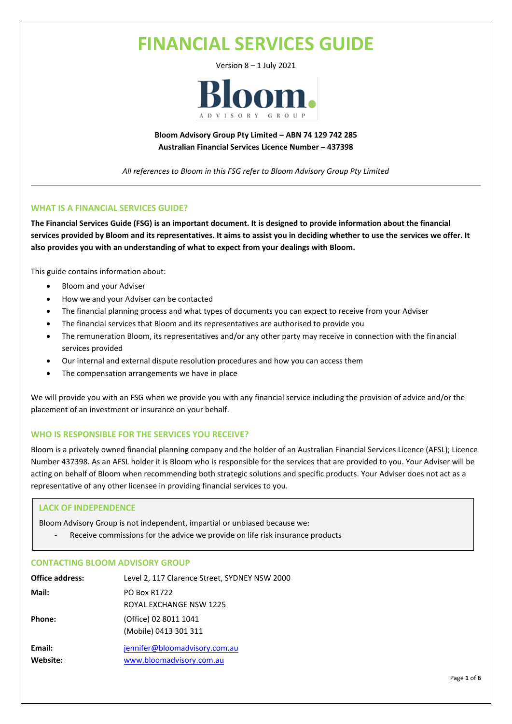# **FINANCIAL SERVICES GUIDE**

Version 8 – 1 July 2021



**Bloom Advisory Group Pty Limited – ABN 74 129 742 285 Australian Financial Services Licence Number – 437398**

*All references to Bloom in this FSG refer to Bloom Advisory Group Pty Limited*

# **WHAT IS A FINANCIAL SERVICES GUIDE?**

**The Financial Services Guide (FSG) is an important document. It is designed to provide information about the financial services provided by Bloom and its representatives. It aims to assist you in deciding whether to use the services we offer. It also provides you with an understanding of what to expect from your dealings with Bloom.**

This guide contains information about:

- Bloom and your Adviser
- How we and your Adviser can be contacted
- The financial planning process and what types of documents you can expect to receive from your Adviser
- The financial services that Bloom and its representatives are authorised to provide you
- The remuneration Bloom, its representatives and/or any other party may receive in connection with the financial services provided
- Our internal and external dispute resolution procedures and how you can access them
- The compensation arrangements we have in place

We will provide you with an FSG when we provide you with any financial service including the provision of advice and/or the placement of an investment or insurance on your behalf.

# **WHO IS RESPONSIBLE FOR THE SERVICES YOU RECEIVE?**

Bloom is a privately owned financial planning company and the holder of an Australian Financial Services Licence (AFSL); Licence Number 437398. As an AFSL holder it is Bloom who is responsible for the services that are provided to you. Your Adviser will be acting on behalf of Bloom when recommending both strategic solutions and specific products. Your Adviser does not act as a representative of any other licensee in providing financial services to you.

# **LACK OF INDEPENDENCE**

Bloom Advisory Group is not independent, impartial or unbiased because we:

Receive commissions for the advice we provide on life risk insurance products

# **CONTACTING BLOOM ADVISORY GROUP**

| <b>Office address:</b> | Level 2, 117 Clarence Street, SYDNEY NSW 2000             |
|------------------------|-----------------------------------------------------------|
| Mail:                  | <b>PO Box R1722</b><br>ROYAL EXCHANGE NSW 1225            |
| Phone:                 | (Office) 02 8011 1041<br>(Mobile) 0413 301 311            |
| Email:<br>Website:     | jennifer@bloomadvisory.com.au<br>www.bloomadvisory.com.au |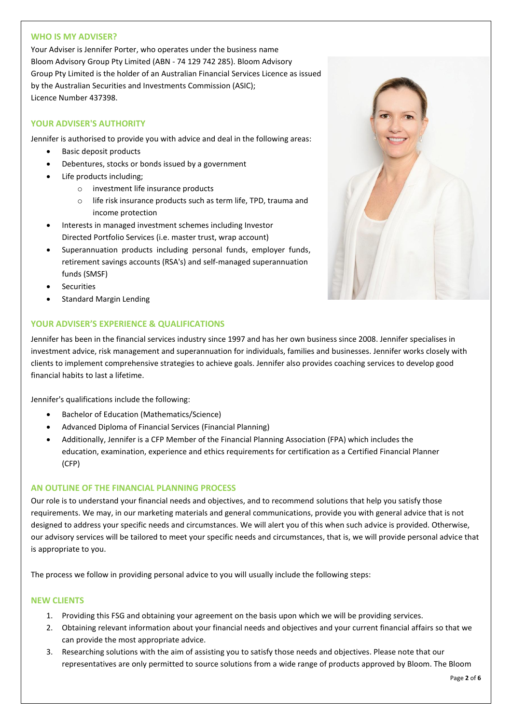# **WHO IS MY ADVISER?**

Your Adviser is Jennifer Porter, who operates under the business name Bloom Advisory Group Pty Limited (ABN - 74 129 742 285). Bloom Advisory Group Pty Limited is the holder of an Australian Financial Services Licence as issued by the Australian Securities and Investments Commission (ASIC); Licence Number 437398.

# **YOUR ADVISER'S AUTHORITY**

Jennifer is authorised to provide you with advice and deal in the following areas:

- Basic deposit products
- Debentures, stocks or bonds issued by a government
- Life products including;
	- o investment life insurance products
	- o life risk insurance products such as term life, TPD, trauma and income protection
- Interests in managed investment schemes including Investor Directed Portfolio Services (i.e. master trust, wrap account)
- Superannuation products including personal funds, employer funds, retirement savings accounts (RSA's) and self-managed superannuation funds (SMSF)
- **Securities**
- Standard Margin Lending

# **YOUR ADVISER'S EXPERIENCE & QUALIFICATIONS**

Jennifer has been in the financial services industry since 1997 and has her own business since 2008. Jennifer specialises in investment advice, risk management and superannuation for individuals, families and businesses. Jennifer works closely with clients to implement comprehensive strategies to achieve goals. Jennifer also provides coaching services to develop good financial habits to last a lifetime.

Jennifer's qualifications include the following:

- Bachelor of Education (Mathematics/Science)
- Advanced Diploma of Financial Services (Financial Planning)
- Additionally, Jennifer is a CFP Member of the Financial Planning Association (FPA) which includes the education, examination, experience and ethics requirements for certification as a Certified Financial Planner (CFP)

# **AN OUTLINE OF THE FINANCIAL PLANNING PROCESS**

Our role is to understand your financial needs and objectives, and to recommend solutions that help you satisfy those requirements. We may, in our marketing materials and general communications, provide you with general advice that is not designed to address your specific needs and circumstances. We will alert you of this when such advice is provided. Otherwise, our advisory services will be tailored to meet your specific needs and circumstances, that is, we will provide personal advice that is appropriate to you.

The process we follow in providing personal advice to you will usually include the following steps:

# **NEW CLIENTS**

- 1. Providing this FSG and obtaining your agreement on the basis upon which we will be providing services.
- 2. Obtaining relevant information about your financial needs and objectives and your current financial affairs so that we can provide the most appropriate advice.
- 3. Researching solutions with the aim of assisting you to satisfy those needs and objectives. Please note that our representatives are only permitted to source solutions from a wide range of products approved by Bloom. The Bloom

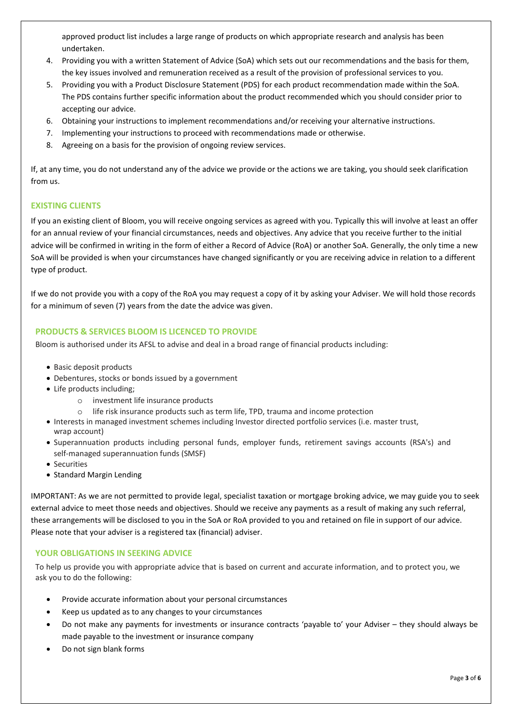approved product list includes a large range of products on which appropriate research and analysis has been undertaken.

- 4. Providing you with a written Statement of Advice (SoA) which sets out our recommendations and the basis for them, the key issues involved and remuneration received as a result of the provision of professional services to you.
- 5. Providing you with a Product Disclosure Statement (PDS) for each product recommendation made within the SoA. The PDS contains further specific information about the product recommended which you should consider prior to accepting our advice.
- 6. Obtaining your instructions to implement recommendations and/or receiving your alternative instructions.
- 7. Implementing your instructions to proceed with recommendations made or otherwise.
- 8. Agreeing on a basis for the provision of ongoing review services.

If, at any time, you do not understand any of the advice we provide or the actions we are taking, you should seek clarification from us.

# **EXISTING CLIENTS**

If you an existing client of Bloom, you will receive ongoing services as agreed with you. Typically this will involve at least an offer for an annual review of your financial circumstances, needs and objectives. Any advice that you receive further to the initial advice will be confirmed in writing in the form of either a Record of Advice (RoA) or another SoA. Generally, the only time a new SoA will be provided is when your circumstances have changed significantly or you are receiving advice in relation to a different type of product.

If we do not provide you with a copy of the RoA you may request a copy of it by asking your Adviser. We will hold those records for a minimum of seven (7) years from the date the advice was given.

# **PRODUCTS & SERVICES BLOOM IS LICENCED TO PROVIDE**

Bloom is authorised under its AFSL to advise and deal in a broad range of financial products including:

- Basic deposit products
- Debentures, stocks or bonds issued by a government
- Life products including;
	- o investment life insurance products
	- o life risk insurance products such as term life, TPD, trauma and income protection
- Interests in managed investment schemes including Investor directed portfolio services (i.e. master trust, wrap account)
- Superannuation products including personal funds, employer funds, retirement savings accounts (RSA's) and self-managed superannuation funds (SMSF)
- Securities
- Standard Margin Lending

IMPORTANT: As we are not permitted to provide legal, specialist taxation or mortgage broking advice, we may guide you to seek external advice to meet those needs and objectives. Should we receive any payments as a result of making any such referral, these arrangements will be disclosed to you in the SoA or RoA provided to you and retained on file in support of our advice. Please note that your adviser is a registered tax (financial) adviser.

# **YOUR OBLIGATIONS IN SEEKING ADVICE**

To help us provide you with appropriate advice that is based on current and accurate information, and to protect you, we ask you to do the following:

- Provide accurate information about your personal circumstances
- Keep us updated as to any changes to your circumstances
- Do not make any payments for investments or insurance contracts 'payable to' your Adviser they should always be made payable to the investment or insurance company
- Do not sign blank forms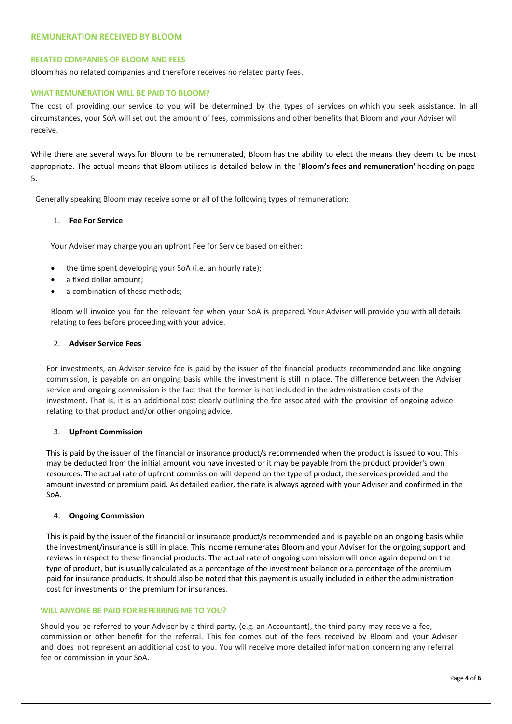## **REMUNERATION RECEIVED BY BLOOM**

#### **RELATED COMPANIES OF BLOOM AND FEES**

Bloom has no related companies and therefore receives no related party fees.

#### **WHAT REMUNERATION WILL BE PAID TO BLOOM?**

The cost of providing our service to you will be determined by the types of services on which you seek assistance. In all circumstances, your SoA will set out the amount of fees, commissions and other benefits that Bloom and your Adviser will receive.

While there are several ways for Bloom to be remunerated, Bloom has the ability to elect the means they deem to be most appropriate. The actual means that Bloom utilises is detailed below in the '**Bloom's fees and remuneration'** heading on page 5.

Generally speaking Bloom may receive some or all of the following types of remuneration:

# 1. **Fee For Service**

Your Adviser may charge you an upfront Fee for Service based on either:

- the time spent developing your SoA (i.e. an hourly rate);
- a fixed dollar amount;
- a combination of these methods:

Bloom will invoice you for the relevant fee when your SoA is prepared. Your Adviser will provide you with all details relating to fees before proceeding with your advice.

# 2. **Adviser Service Fees**

For investments, an Adviser service fee is paid by the issuer of the financial products recommended and like ongoing commission, is payable on an ongoing basis while the investment is still in place. The difference between the Adviser service and ongoing commission is the fact that the former is not included in the administration costs of the investment. That is, it is an additional cost clearly outlining the fee associated with the provision of ongoing advice relating to that product and/or other ongoing advice.

#### 3. **Upfront Commission**

This is paid by the issuer of the financial or insurance product/s recommended when the product is issued to you. This may be deducted from the initial amount you have invested or it may be payable from the product provider's own resources. The actual rate of upfront commission will depend on the type of product, the services provided and the amount invested or premium paid. As detailed earlier, the rate is always agreed with your Adviser and confirmed in the SoA.

#### 4. **Ongoing Commission**

This is paid by the issuer of the financial or insurance product/s recommended and is payable on an ongoing basis while the investment/insurance is still in place. This income remunerates Bloom and your Adviser for the ongoing support and reviews in respect to these financial products. The actual rate of ongoing commission will once again depend on the type of product, but is usually calculated as a percentage of the investment balance or a percentage of the premium paid for insurance products. It should also be noted that this payment is usually included in either the administration cost for investments or the premium for insurances.

#### **WILL ANYONE BE PAID FOR REFERRING ME TO YOU?**

Should you be referred to your Adviser by a third party, (e.g. an Accountant), the third party may receive a fee, commission or other benefit for the referral. This fee comes out of the fees received by Bloom and your Adviser and does not represent an additional cost to you. You will receive more detailed information concerning any referral fee or commission in your SoA.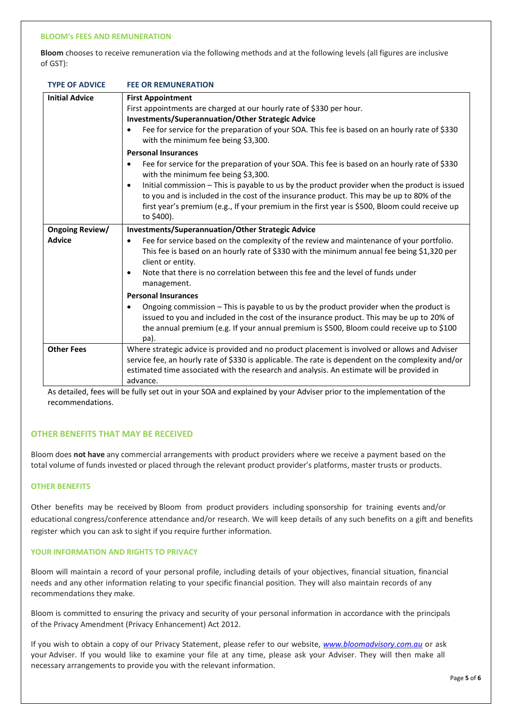#### **BLOOM's FEES AND REMUNERATION**

**Bloom** chooses to receive remuneration via the following methods and at the following levels (all figures are inclusive of GST):

|  | <b>TYPE OF ADVICE</b> | <b>FEE OR REMUNERATION</b> |
|--|-----------------------|----------------------------|
|--|-----------------------|----------------------------|

| <b>Initial Advice</b>                   | <b>First Appointment</b><br>First appointments are charged at our hourly rate of \$330 per hour.<br><b>Investments/Superannuation/Other Strategic Advice</b><br>Fee for service for the preparation of your SOA. This fee is based on an hourly rate of \$330<br>with the minimum fee being \$3,300.                                                                                                                                                                                                                                                                                                                                                                                                                          |
|-----------------------------------------|-------------------------------------------------------------------------------------------------------------------------------------------------------------------------------------------------------------------------------------------------------------------------------------------------------------------------------------------------------------------------------------------------------------------------------------------------------------------------------------------------------------------------------------------------------------------------------------------------------------------------------------------------------------------------------------------------------------------------------|
|                                         | <b>Personal Insurances</b><br>Fee for service for the preparation of your SOA. This fee is based on an hourly rate of \$330<br>$\bullet$<br>with the minimum fee being \$3,300.<br>Initial commission - This is payable to us by the product provider when the product is issued<br>$\bullet$<br>to you and is included in the cost of the insurance product. This may be up to 80% of the<br>first year's premium (e.g., If your premium in the first year is \$500, Bloom could receive up<br>to \$400).                                                                                                                                                                                                                    |
| <b>Ongoing Review/</b><br><b>Advice</b> | <b>Investments/Superannuation/Other Strategic Advice</b><br>Fee for service based on the complexity of the review and maintenance of your portfolio.<br>$\bullet$<br>This fee is based on an hourly rate of \$330 with the minimum annual fee being \$1,320 per<br>client or entity.<br>Note that there is no correlation between this fee and the level of funds under<br>$\bullet$<br>management.<br><b>Personal Insurances</b><br>Ongoing commission - This is payable to us by the product provider when the product is<br>issued to you and included in the cost of the insurance product. This may be up to 20% of<br>the annual premium (e.g. If your annual premium is \$500, Bloom could receive up to \$100<br>pa). |
| <b>Other Fees</b>                       | Where strategic advice is provided and no product placement is involved or allows and Adviser<br>service fee, an hourly rate of \$330 is applicable. The rate is dependent on the complexity and/or<br>estimated time associated with the research and analysis. An estimate will be provided in<br>advance.                                                                                                                                                                                                                                                                                                                                                                                                                  |

As detailed, fees will be fully set out in your SOA and explained by your Adviser prior to the implementation of the recommendations.

#### **OTHER BENEFITS THAT MAY BE RECEIVED**

Bloom does **not have** any commercial arrangements with product providers where we receive a payment based on the total volume of funds invested or placed through the relevant product provider's platforms, master trusts or products.

#### **OTHER BENEFITS**

Other benefits may be received by Bloom from product providers including sponsorship for training events and/or educational congress/conference attendance and/or research. We will keep details of any such benefits on a gift and benefits register which you can ask to sight if you require further information.

#### **YOUR INFORMATION AND RIGHTS TO PRIVACY**

Bloom will maintain a record of your personal profile, including details of your objectives, financial situation, financial needs and any other information relating to your specific financial position. They will also maintain records of any recommendations they make.

Bloom is committed to ensuring the privacy and security of your personal information in accordance with the principals of the Privacy Amendment (Privacy Enhancement) Act 2012.

If you wish to obtain a copy of our Privacy Statement, please refer to our website, *www.bloomadvisory.com.au* or ask your Adviser. If you would like to examine your file at any time, please ask your Adviser. They will then make all necessary arrangements to provide you with the relevant information.